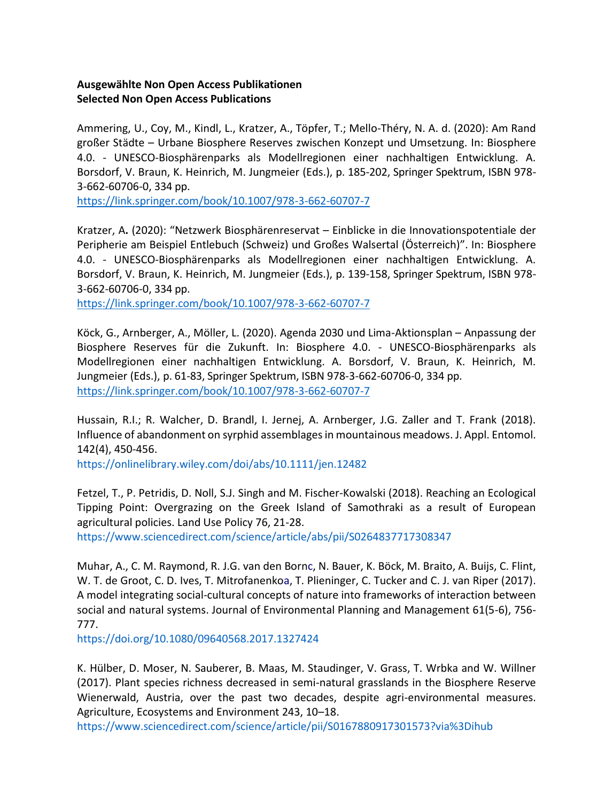## **Ausgewählte Non Open Access Publikationen Selected Non Open Access Publications**

Ammering, U., Coy, M., Kindl, L., Kratzer, A., Töpfer, T.; Mello-Théry, N. A. d. (2020): Am Rand großer Städte – Urbane Biosphere Reserves zwischen Konzept und Umsetzung. In: Biosphere 4.0. - UNESCO-Biosphärenparks als Modellregionen einer nachhaltigen Entwicklung. A. Borsdorf, V. Braun, K. Heinrich, M. Jungmeier (Eds.), p. 185-202, Springer Spektrum, ISBN 978- 3-662-60706-0, 334 pp.

<https://link.springer.com/book/10.1007/978-3-662-60707-7>

Kratzer, A**.** (2020): "Netzwerk Biosphärenreservat – Einblicke in die Innovationspotentiale der Peripherie am Beispiel Entlebuch (Schweiz) und Großes Walsertal (Österreich)". In: Biosphere 4.0. - UNESCO-Biosphärenparks als Modellregionen einer nachhaltigen Entwicklung. A. Borsdorf, V. Braun, K. Heinrich, M. Jungmeier (Eds.), p. 139-158, Springer Spektrum, ISBN 978- 3-662-60706-0, 334 pp.

<https://link.springer.com/book/10.1007/978-3-662-60707-7>

Köck, G., Arnberger, A., Möller, L. (2020). Agenda 2030 und Lima-Aktionsplan – Anpassung der Biosphere Reserves für die Zukunft. In: Biosphere 4.0. - UNESCO-Biosphärenparks als Modellregionen einer nachhaltigen Entwicklung. A. Borsdorf, V. Braun, K. Heinrich, M. Jungmeier (Eds.), p. 61-83, Springer Spektrum, ISBN 978-3-662-60706-0, 334 pp. <https://link.springer.com/book/10.1007/978-3-662-60707-7>

Hussain, R.I.; R. Walcher, D. Brandl, I. Jernej, A. Arnberger, J.G. Zaller and T. Frank (2018). Influence of abandonment on syrphid assemblages in mountainous meadows. J. Appl. Entomol. 142(4), 450-456.

https://onlinelibrary.wiley.com/doi/abs/10.1111/jen.12482

Fetzel, T., P. Petridis, D. Noll, S.J. Singh and M. Fischer-Kowalski (2018). Reaching an Ecological Tipping Point: Overgrazing on the Greek Island of Samothraki as a result of European agricultural policies. Land Use Policy 76, 21-28.

https://www.sciencedirect.com/science/article/abs/pii/S0264837717308347

Muhar, A., C. M. Raymond, R. J.G. van den Bornc, N. Bauer, K. Böck, M. Braito, A. Buijs, C. Flint, W. T. de Groot, C. D. Ives, T. Mitrofanenkoa, T. Plieninger, C. Tucker and C. J. van Riper (2017). A model integrating social-cultural concepts of nature into frameworks of interaction between social and natural systems. Journal of Environmental Planning and Management 61(5-6), 756- 777.

https://doi.org/10.1080/09640568.2017.1327424

K. Hülber, D. Moser, N. Sauberer, B. Maas, M. Staudinger, V. Grass, T. Wrbka and W. Willner (2017). Plant species richness decreased in semi-natural grasslands in the Biosphere Reserve Wienerwald, Austria, over the past two decades, despite agri-environmental measures. Agriculture, Ecosystems and Environment 243, 10–18.

https://www.sciencedirect.com/science/article/pii/S0167880917301573?via%3Dihub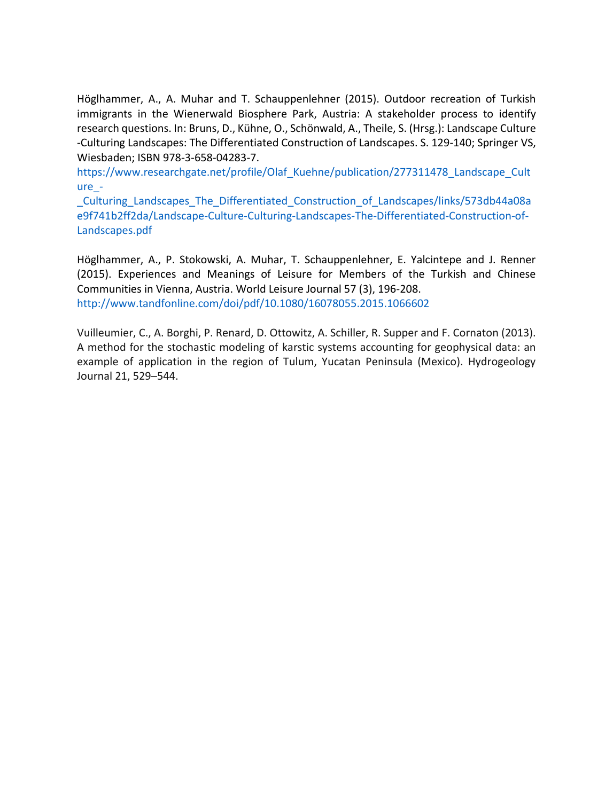Höglhammer, A., A. Muhar and T. Schauppenlehner (2015). Outdoor recreation of Turkish immigrants in the Wienerwald Biosphere Park, Austria: A stakeholder process to identify research questions. In: Bruns, D., Kühne, O., Schönwald, A., Theile, S. (Hrsg.): Landscape Culture ‐Culturing Landscapes: The Differentiated Construction of Landscapes. S. 129‐140; Springer VS, Wiesbaden; ISBN 978‐3‐658‐04283‐7.

https://www.researchgate.net/profile/Olaf\_Kuehne/publication/277311478\_Landscape\_Cult ure\_-

\_Culturing\_Landscapes\_The\_Differentiated\_Construction\_of\_Landscapes/links/573db44a08a e9f741b2ff2da/Landscape-Culture-Culturing-Landscapes-The-Differentiated-Construction-of-Landscapes.pdf

Höglhammer, A., P. Stokowski, A. Muhar, T. Schauppenlehner, E. Yalcintepe and J. Renner (2015). Experiences and Meanings of Leisure for Members of the Turkish and Chinese Communities in Vienna, Austria. World Leisure Journal 57 (3), 196-208. http://www.tandfonline.com/doi/pdf/10.1080/16078055.2015.1066602

Vuilleumier, C., A. Borghi, P. Renard, D. Ottowitz, A. Schiller, R. Supper and F. Cornaton (2013). A method for the stochastic modeling of karstic systems accounting for geophysical data: an example of application in the region of Tulum, Yucatan Peninsula (Mexico). Hydrogeology Journal 21, 529–544.